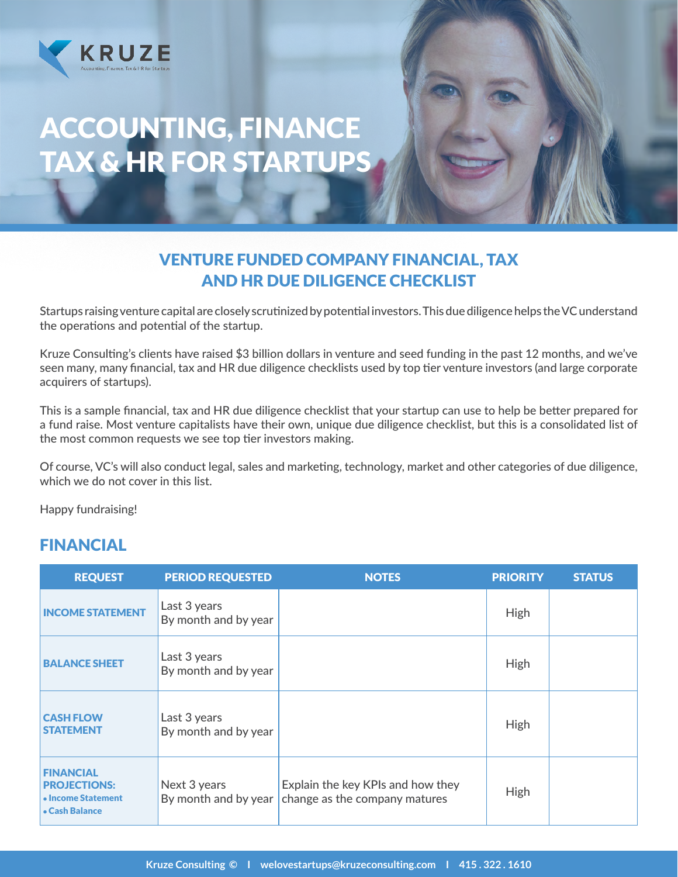



### VENTURE FUNDED COMPANY FINANCIAL, TAX AND HR DUE DILIGENCE CHECKLIST

Startups raising venture capital are closely scrutinized by potential investors. This due diligence helps the VC understand the operations and potential of the startup.

Kruze Consulting's clients have raised \$3 billion dollars in venture and seed funding in the past 12 months, and we've seen many, many financial, tax and HR due diligence checklists used by top tier venture investors (and large corporate acquirers of startups).

This is a sample financial, tax and HR due diligence checklist that your startup can use to help be better prepared for a fund raise. Most venture capitalists have their own, unique due diligence checklist, but this is a consolidated list of the most common requests we see top tier investors making.

Of course, VC's will also conduct legal, sales and marketing, technology, market and other categories of due diligence, which we do not cover in this list.

Happy fundraising!

### FINANCIAL

| <b>REQUEST</b>                                                                  | <b>PERIOD REQUESTED</b>              | <b>NOTES</b>                                                       | <b>PRIORITY</b> | <b>STATUS</b> |
|---------------------------------------------------------------------------------|--------------------------------------|--------------------------------------------------------------------|-----------------|---------------|
| <b>INCOME STATEMENT</b>                                                         | Last 3 years<br>By month and by year |                                                                    | <b>High</b>     |               |
| <b>BALANCE SHEET</b>                                                            | Last 3 years<br>By month and by year |                                                                    | <b>High</b>     |               |
| <b>CASH FLOW</b><br><b>STATEMENT</b>                                            | Last 3 years<br>By month and by year |                                                                    | <b>High</b>     |               |
| <b>FINANCIAL</b><br><b>PROJECTIONS:</b><br>• Income Statement<br>• Cash Balance | Next 3 years<br>By month and by year | Explain the key KPIs and how they<br>change as the company matures | <b>High</b>     |               |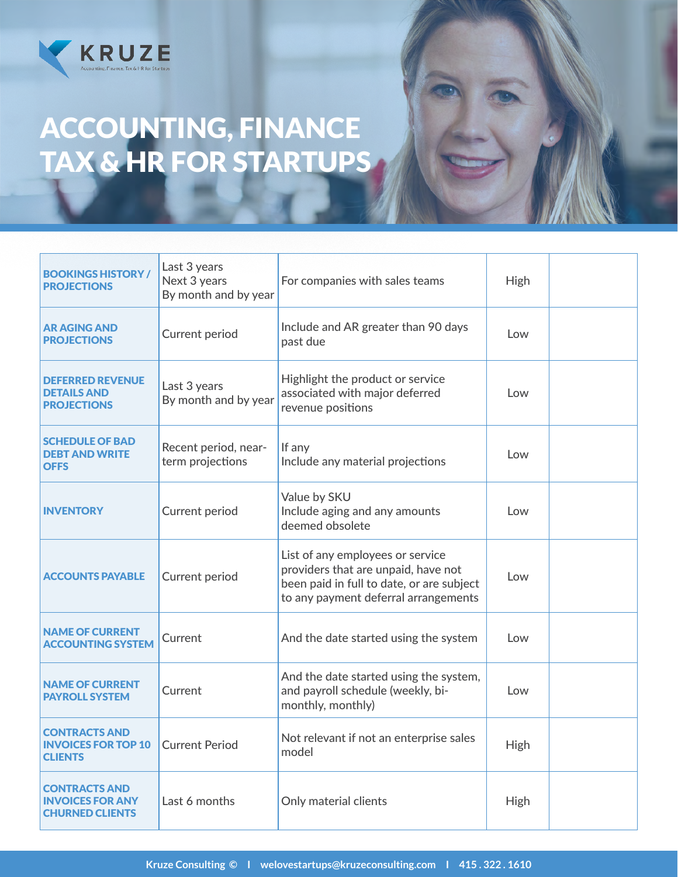

| <b>BOOKINGS HISTORY /</b><br><b>PROJECTIONS</b>                           | Last 3 years<br>Next 3 years<br>By month and by year | For companies with sales teams                                                                                                                               | <b>High</b> |  |
|---------------------------------------------------------------------------|------------------------------------------------------|--------------------------------------------------------------------------------------------------------------------------------------------------------------|-------------|--|
| <b>AR AGING AND</b><br><b>PROJECTIONS</b>                                 | Current period                                       | Include and AR greater than 90 days<br>past due                                                                                                              | Low         |  |
| <b>DEFERRED REVENUE</b><br><b>DETAILS AND</b><br><b>PROJECTIONS</b>       | Last 3 years<br>By month and by year                 | Highlight the product or service<br>associated with major deferred<br>revenue positions                                                                      | Low         |  |
| <b>SCHEDULE OF BAD</b><br><b>DEBT AND WRITE</b><br><b>OFFS</b>            | Recent period, near-<br>term projections             | If any<br>Include any material projections                                                                                                                   | Low         |  |
| <b>INVENTORY</b>                                                          | <b>Current period</b>                                | Value by SKU<br>Include aging and any amounts<br>deemed obsolete                                                                                             | Low         |  |
| <b>ACCOUNTS PAYABLE</b>                                                   | Current period                                       | List of any employees or service<br>providers that are unpaid, have not<br>been paid in full to date, or are subject<br>to any payment deferral arrangements | Low         |  |
| <b>NAME OF CURRENT</b><br><b>ACCOUNTING SYSTEM</b>                        | Current                                              | And the date started using the system                                                                                                                        | Low         |  |
| <b>NAME OF CURRENT</b><br><b>PAYROLL SYSTEM</b>                           | Current                                              | And the date started using the system,<br>and payroll schedule (weekly, bi-<br>monthly, monthly)                                                             | Low         |  |
| <b>CONTRACTS AND</b><br><b>INVOICES FOR TOP 10</b><br><b>CLIENTS</b>      | <b>Current Period</b>                                | Not relevant if not an enterprise sales<br>model                                                                                                             | <b>High</b> |  |
| <b>CONTRACTS AND</b><br><b>INVOICES FOR ANY</b><br><b>CHURNED CLIENTS</b> | Last 6 months                                        | Only material clients                                                                                                                                        | <b>High</b> |  |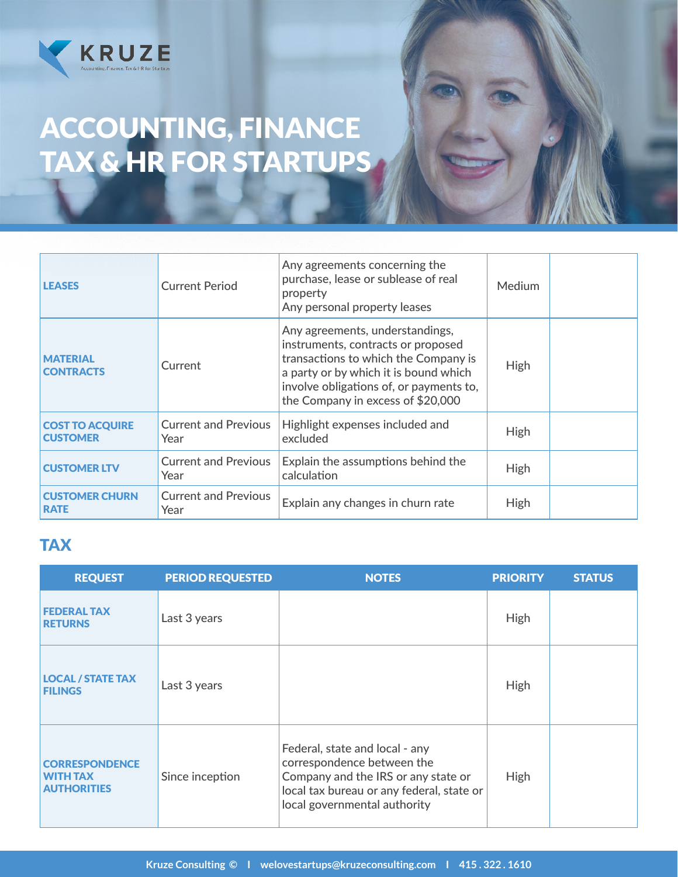

| <b>LEASES</b>                             | <b>Current Period</b>               | Any agreements concerning the<br>purchase, lease or sublease of real<br>property<br>Any personal property leases                                                                                                                       | <b>Medium</b> |  |
|-------------------------------------------|-------------------------------------|----------------------------------------------------------------------------------------------------------------------------------------------------------------------------------------------------------------------------------------|---------------|--|
| <b>MATERIAL</b><br><b>CONTRACTS</b>       | Current                             | Any agreements, understandings,<br>instruments, contracts or proposed<br>transactions to which the Company is<br>a party or by which it is bound which<br>involve obligations of, or payments to,<br>the Company in excess of \$20,000 | <b>High</b>   |  |
| <b>COST TO ACQUIRE</b><br><b>CUSTOMER</b> | <b>Current and Previous</b><br>Year | Highlight expenses included and<br>excluded                                                                                                                                                                                            | <b>High</b>   |  |
| <b>CUSTOMER LTV</b>                       | <b>Current and Previous</b><br>Year | Explain the assumptions behind the<br>calculation                                                                                                                                                                                      | <b>High</b>   |  |
| <b>CUSTOMER CHURN</b><br><b>RATE</b>      | <b>Current and Previous</b><br>Year | Explain any changes in churn rate                                                                                                                                                                                                      | <b>High</b>   |  |

## **TAX**

| <b>REQUEST</b>                                                 | <b>PERIOD REQUESTED</b> | <b>NOTES</b>                                                                                                                                                                     | <b>PRIORITY</b> | <b>STATUS</b> |
|----------------------------------------------------------------|-------------------------|----------------------------------------------------------------------------------------------------------------------------------------------------------------------------------|-----------------|---------------|
| <b>FEDERAL TAX</b><br><b>RETURNS</b>                           | Last 3 years            |                                                                                                                                                                                  | <b>High</b>     |               |
| <b>LOCAL / STATE TAX</b><br><b>FILINGS</b>                     | Last 3 years            |                                                                                                                                                                                  | <b>High</b>     |               |
| <b>CORRESPONDENCE</b><br><b>WITH TAX</b><br><b>AUTHORITIES</b> | Since inception         | Federal, state and local - any<br>correspondence between the<br>Company and the IRS or any state or<br>local tax bureau or any federal, state or<br>local governmental authority | <b>High</b>     |               |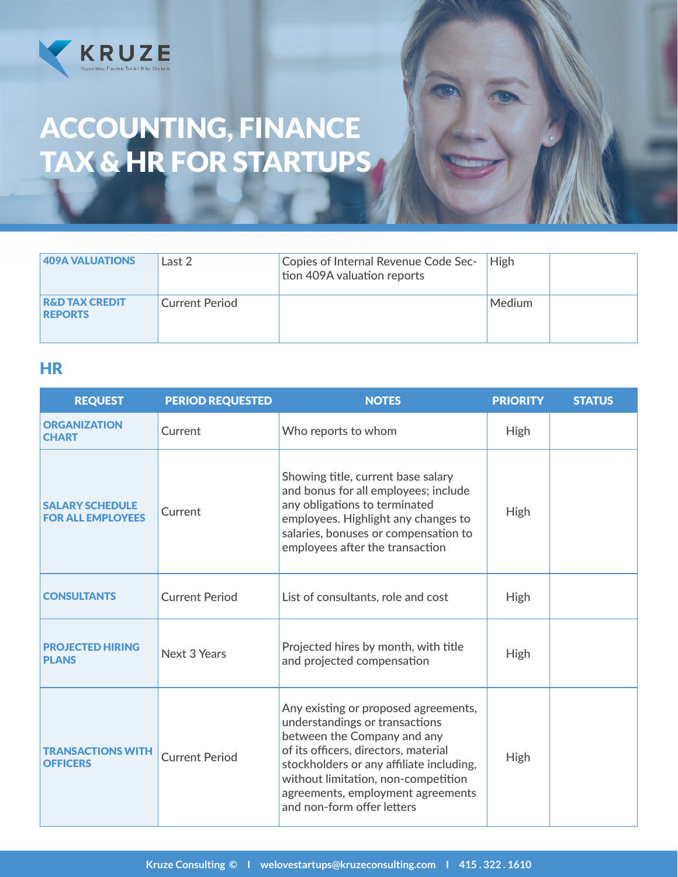

| <b>409A VALUATIONS</b>                      | Last 2                | Copies of Internal Revenue Code Sec-<br>tion 409A valuation reports | <b>High</b> |  |
|---------------------------------------------|-----------------------|---------------------------------------------------------------------|-------------|--|
| <b>R&amp;D TAX CREDIT</b><br><b>REPORTS</b> | <b>Current Period</b> |                                                                     | Medium      |  |

### **HR**

| <b>REQUEST</b>                                     | <b>PERIOD REQUESTED</b> | <b>NOTES</b>                                                                                                                                                                                                                                                                                        | <b>PRIORITY</b> | <b>STATUS</b> |
|----------------------------------------------------|-------------------------|-----------------------------------------------------------------------------------------------------------------------------------------------------------------------------------------------------------------------------------------------------------------------------------------------------|-----------------|---------------|
| <b>ORGANIZATION</b><br><b>CHART</b>                | Current                 | Who reports to whom                                                                                                                                                                                                                                                                                 | <b>High</b>     |               |
| <b>SALARY SCHEDULE</b><br><b>FOR ALL EMPLOYEES</b> | Current                 | Showing title, current base salary<br>and bonus for all employees; include<br>any obligations to terminated<br>employees. Highlight any changes to<br>salaries, bonuses or compensation to<br>employees after the transaction                                                                       | <b>High</b>     |               |
| <b>CONSULTANTS</b>                                 | <b>Current Period</b>   | List of consultants, role and cost                                                                                                                                                                                                                                                                  | <b>High</b>     |               |
| <b>PROJECTED HIRING</b><br><b>PLANS</b>            | Next 3 Years            | Projected hires by month, with title<br>and projected compensation                                                                                                                                                                                                                                  | <b>High</b>     |               |
| <b>TRANSACTIONS WITH</b><br><b>OFFICERS</b>        | <b>Current Period</b>   | Any existing or proposed agreements,<br>understandings or transactions<br>between the Company and any<br>of its officers, directors, material<br>stockholders or any affiliate including,<br>without limitation, non-competition<br>agreements, employment agreements<br>and non-form offer letters | <b>High</b>     |               |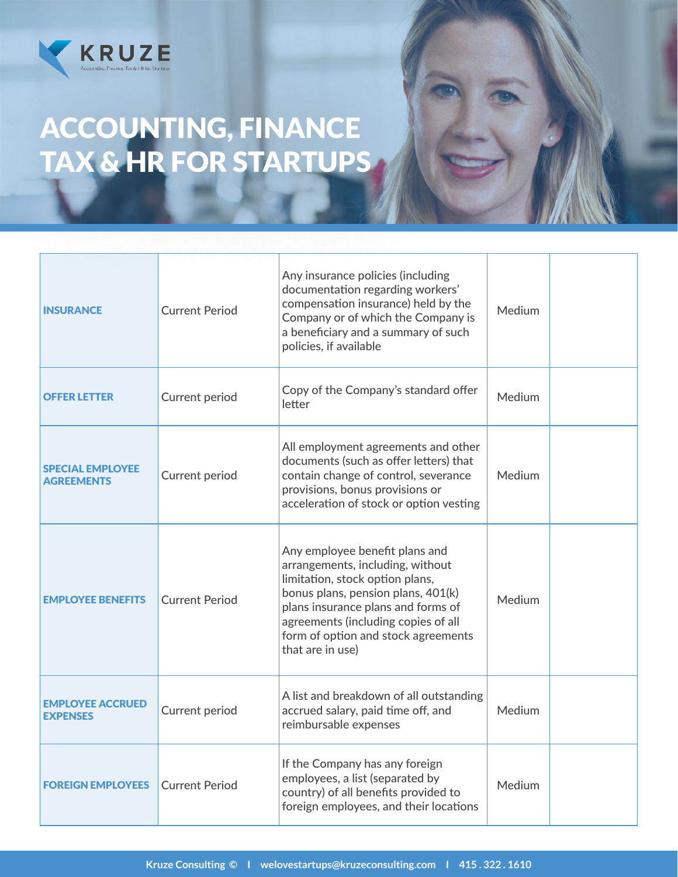

| <b>INSURANCE</b>                             | <b>Current Period</b> | Any insurance policies (including<br>documentation regarding workers'<br>compensation insurance) held by the<br>Company or of which the Company is<br>a beneficiary and a summary of such<br>policies, if available                                                                 | Medium |  |
|----------------------------------------------|-----------------------|-------------------------------------------------------------------------------------------------------------------------------------------------------------------------------------------------------------------------------------------------------------------------------------|--------|--|
| <b>OFFER LETTER</b>                          | Current period        | Copy of the Company's standard offer<br>letter                                                                                                                                                                                                                                      | Medium |  |
| <b>SPECIAL EMPLOYEE</b><br><b>AGREEMENTS</b> | Current period        | All employment agreements and other<br>documents (such as offer letters) that<br>contain change of control, severance<br>provisions, bonus provisions or<br>acceleration of stock or option vesting                                                                                 | Medium |  |
| <b>EMPLOYEE BENEFITS</b>                     | <b>Current Period</b> | Any employee benefit plans and<br>arrangements, including, without<br>limitation, stock option plans,<br>bonus plans, pension plans, 401(k)<br>plans insurance plans and forms of<br>agreements (including copies of all<br>form of option and stock agreements<br>that are in use) | Medium |  |
| <b>EMPLOYEE ACCRUED</b><br><b>EXPENSES</b>   | Current period        | A list and breakdown of all outstanding<br>accrued salary, paid time off, and<br>reimbursable expenses                                                                                                                                                                              | Medium |  |
| <b>FOREIGN EMPLOYEES</b>                     | <b>Current Period</b> | If the Company has any foreign<br>employees, a list (separated by<br>country) of all benefits provided to<br>foreign employees, and their locations                                                                                                                                 | Medium |  |